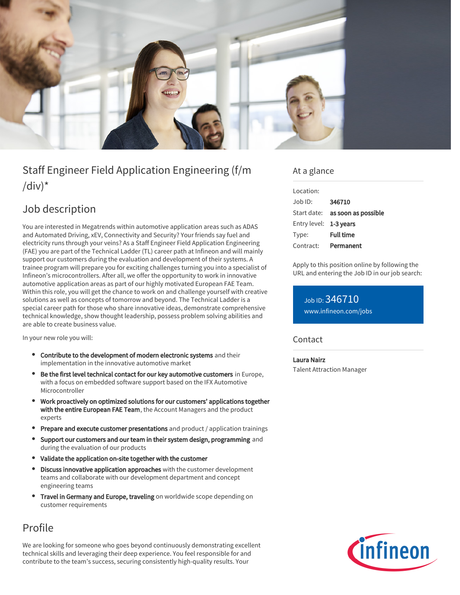

# Staff Engineer Field Application Engineering (f/m  $\frac{1}{d}$

## Job description

You are interested in Megatrends within automotive application areas such as ADAS and Automated Driving, xEV, Connectivity and Security? Your friends say fuel and electricity runs through your veins? As a Staff Engineer Field Application Engineering (FAE) you are part of the Technical Ladder (TL) career path at Infineon and will mainly support our customers during the evaluation and development of their systems. A trainee program will prepare you for exciting challenges turning you into a specialist of Infineon's microcontrollers. After all, we offer the opportunity to work in innovative automotive application areas as part of our highly motivated European FAE Team. Within this role, you will get the chance to work on and challenge yourself with creative solutions as well as concepts of tomorrow and beyond. The Technical Ladder is a special career path for those who share innovative ideas, demonstrate comprehensive technical knowledge, show thought leadership, possess problem solving abilities and are able to create business value.

In your new role you will:

- Contribute to the development of modern electronic systems and their implementation in the innovative automotive market
- Be the first level technical contact for our key automotive customers in Europe, with a focus on embedded software support based on the IFX Automotive Microcontroller
- Work proactively on optimized solutions for our customers' applications together with the entire European FAE Team, the Account Managers and the product experts
- **Prepare and execute customer presentations** and product / application trainings
- **•** Support our customers and our team in their system design, programming and during the evaluation of our products
- Validate the application on-site together with the customer
- $\bullet$ Discuss innovative application approaches with the customer development teams and collaborate with our development department and concept engineering teams
- Travel in Germany and Europe, traveling on worldwide scope depending on customer requirements

## Profile

We are looking for someone who goes beyond continuously demonstrating excellent technical skills and leveraging their deep experience. You feel responsible for and contribute to the team's success, securing consistently high-quality results. Your

### At a glance

| Location:              |                                        |
|------------------------|----------------------------------------|
| $.$ lob $1D$ :         | 346710                                 |
|                        | Start date: <b>as soon as possible</b> |
| Entry level: 1-3 years |                                        |
| Type:                  | <b>Full time</b>                       |
| Contract:              | Permanent                              |

Apply to this position online by following the URL and entering the Job ID in our job search:

Job ID: 346710 [www.infineon.com/jobs](https://www.infineon.com/jobs)

### **Contact**

#### Laura Nairz

Talent Attraction Manager